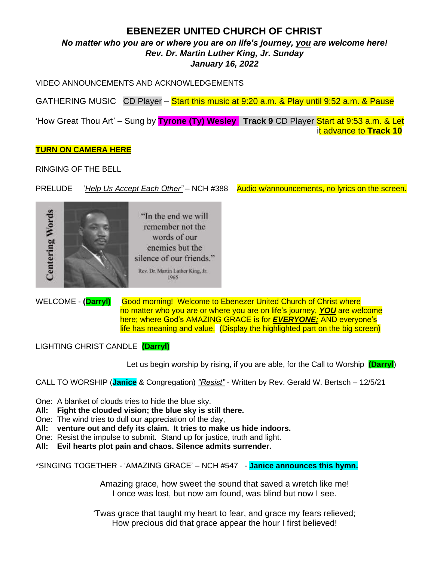# **EBENEZER UNITED CHURCH OF CHRIST**

*No matter who you are or where you are on life's journey, you are welcome here! Rev. Dr. Martin Luther King, Jr. Sunday January 16, 2022*

VIDEO ANNOUNCEMENTS AND ACKNOWLEDGEMENTS

GATHERING MUSIC CD Player – Start this music at 9:20 a.m. & Play until 9:52 a.m. & Pause

'How Great Thou Art' – Sung by **Tyrone (Ty) Wesley Track 9** CD Player Start at 9:53 a.m. & Let it advance to **Track 10**

#### **TURN ON CAMERA HERE**

RINGING OF THE BELL

PRELUDE '*Help* Us *Accept Each Other*" – NCH #388 Audio w/announcements, no lyrics on the screen.



WELCOME - **(Darryl)** Good morning! Welcome to Ebenezer United Church of Christ where no matter who you are or where you are on life's journey, *YOU* are welcome here; where God's AMAZING GRACE is for *EVERYONE;* AND everyone's life has meaning and value. (Display the highlighted part on the big screen)

LIGHTING CHRIST CANDLE **(Darryl)**

Let us begin worship by rising, if you are able, for the Call to Worship **(Darryl**)

CALL TO WORSHIP (**Janice** & Congregation) *"Resist"* - Written by Rev. Gerald W. Bertsch – 12/5/21

One: A blanket of clouds tries to hide the blue sky.

- **All: Fight the clouded vision; the blue sky is still there.**
- One: The wind tries to dull our appreciation of the day,
- **All: venture out and defy its claim. It tries to make us hide indoors.**
- One:Resist the impulse to submit. Stand up for justice, truth and light.
- **All: Evil hearts plot pain and chaos. Silence admits surrender.**

\*SINGING TOGETHER - 'AMAZING GRACE' – NCH #547 - **Janice announces this hymn.**

Amazing grace, how sweet the sound that saved a wretch like me! I once was lost, but now am found, was blind but now I see.

'Twas grace that taught my heart to fear, and grace my fears relieved; How precious did that grace appear the hour I first believed!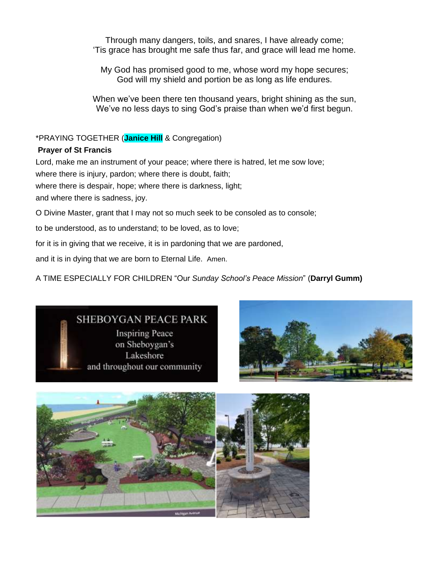Through many dangers, toils, and snares, I have already come; 'Tis grace has brought me safe thus far, and grace will lead me home.

My God has promised good to me, whose word my hope secures; God will my shield and portion be as long as life endures.

When we've been there ten thousand years, bright shining as the sun, We've no less days to sing God's praise than when we'd first begun.

\*PRAYING TOGETHER (**Janice Hill** & Congregation)

# **Prayer of St Francis**

Lord, make me an instrument of your peace; where there is hatred, let me sow love; where there is injury, pardon; where there is doubt, faith; where there is despair, hope; where there is darkness, light; and where there is sadness, joy.

O Divine Master, grant that I may not so much seek to be consoled as to console;

to be understood, as to understand; to be loved, as to love;

for it is in giving that we receive, it is in pardoning that we are pardoned,

and it is in dying that we are born to Eternal Life. Amen.

A TIME ESPECIALLY FOR CHILDREN "Our *Sunday School's Peace Mission*" (**Darryl Gumm)**

# **SHEBOYGAN PEACE PARK**

**Inspiring Peace** on Sheboygan's Lakeshore and throughout our community



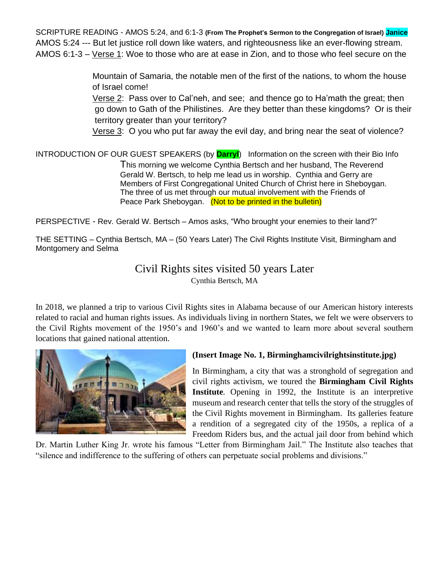SCRIPTURE READING - AMOS 5:24, and 6:1-3 **(From The Prophet's Sermon to the Congregation of Israel) Janice** AMOS 5:24 --- But let justice roll down like waters, and righteousness like an ever-flowing stream. AMOS 6:1-3 – Verse 1: Woe to those who are at ease in Zion, and to those who feel secure on the

> Mountain of Samaria, the notable men of the first of the nations, to whom the house of Israel come!

 Verse 2: Pass over to Cal'neh, and see; and thence go to Ha'math the great; then go down to Gath of the Philistines. Are they better than these kingdoms? Or is their territory greater than your territory?

Verse 3: O you who put far away the evil day, and bring near the seat of violence?

INTRODUCTION OF OUR GUEST SPEAKERS (by **Darryl**) Information on the screen with their Bio Info This morning we welcome Cynthia Bertsch and her husband, The Reverend Gerald W. Bertsch, to help me lead us in worship. Cynthia and Gerry are Members of First Congregational United Church of Christ here in Sheboygan. The three of us met through our mutual involvement with the Friends of Peace Park Sheboygan. (Not to be printed in the bulletin)

PERSPECTIVE - Rev. Gerald W. Bertsch – Amos asks, "Who brought your enemies to their land?"

THE SETTING – Cynthia Bertsch, MA – (50 Years Later) The Civil Rights Institute Visit, Birmingham and Montgomery and Selma

# Civil Rights sites visited 50 years Later Cynthia Bertsch, MA

In 2018, we planned a trip to various Civil Rights sites in Alabama because of our American history interests related to racial and human rights issues. As individuals living in northern States, we felt we were observers to the Civil Rights movement of the 1950's and 1960's and we wanted to learn more about several southern locations that gained national attention.



## **(Insert Image No. 1, Birminghamcivilrightsinstitute.jpg)**

In Birmingham, a city that was a stronghold of segregation and civil rights activism, we toured the **Birmingham Civil Rights Institute**. Opening in 1992, the Institute is an interpretive museum and research center that tells the story of the struggles of the Civil Rights movement in Birmingham. Its galleries feature a rendition of a segregated city of the 1950s, a replica of a Freedom Riders bus, and the actual jail door from behind which

Dr. Martin Luther King Jr. wrote his famous "Letter from Birmingham Jail." The Institute also teaches that "silence and indifference to the suffering of others can perpetuate social problems and divisions."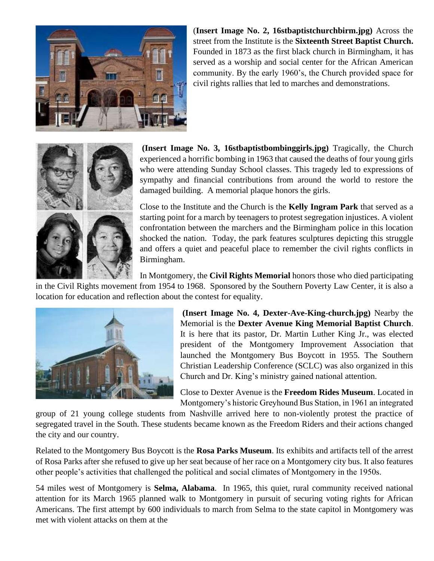

(**Insert Image No. 2, 16stbaptistchurchbirm.jpg)** Across the street from the Institute is the **Sixteenth Street Baptist Church.**  Founded in 1873 as the first black church in Birmingham, it has served as a worship and social center for the African American community. By the early 1960's, the Church provided space for civil rights rallies that led to marches and demonstrations.



**(Insert Image No. 3, 16stbaptistbombinggirls.jpg)** Tragically, the Church experienced a horrific bombing in 1963 that caused the deaths of four young girls who were attending Sunday School classes. This tragedy led to expressions of sympathy and financial contributions from around the world to restore the damaged building. A memorial plaque honors the girls.

Close to the Institute and the Church is the **Kelly Ingram Park** that served as a starting point for a march by teenagers to protest segregation injustices. A violent confrontation between the marchers and the Birmingham police in this location shocked the nation. Today, the park features sculptures depicting this struggle and offers a quiet and peaceful place to remember the civil rights conflicts in Birmingham.

In Montgomery, the **Civil Rights Memorial** honors those who died participating in the Civil Rights movement from 1954 to 1968. Sponsored by the Southern Poverty Law Center, it is also a location for education and reflection about the contest for equality.



**(Insert Image No. 4, Dexter-Ave-King-church.jpg)** Nearby the Memorial is the **Dexter Avenue King Memorial Baptist Church**. It is here that its pastor, Dr. Martin Luther King Jr., was elected president of the Montgomery Improvement Association that launched the Montgomery Bus Boycott in 1955. The Southern Christian Leadership Conference (SCLC) was also organized in this Church and Dr. King's ministry gained national attention.

Close to Dexter Avenue is the **Freedom Rides Museum**. Located in Montgomery's historic Greyhound Bus Station, in 1961 an integrated

group of 21 young college students from Nashville arrived here to non-violently protest the practice of segregated travel in the South. These students became known as the Freedom Riders and their actions changed the city and our country.

Related to the Montgomery Bus Boycott is the **Rosa Parks Museum**. Its exhibits and artifacts tell of the arrest of Rosa Parks after she refused to give up her seat because of her race on a Montgomery city bus. It also features other people's activities that challenged the political and social climates of Montgomery in the 1950s.

54 miles west of Montgomery is **Selma, Alabama**. In 1965, this quiet, rural community received national attention for its March 1965 planned walk to Montgomery in pursuit of securing voting rights for African Americans. The first attempt by 600 individuals to march from Selma to the state capitol in Montgomery was met with violent attacks on them at the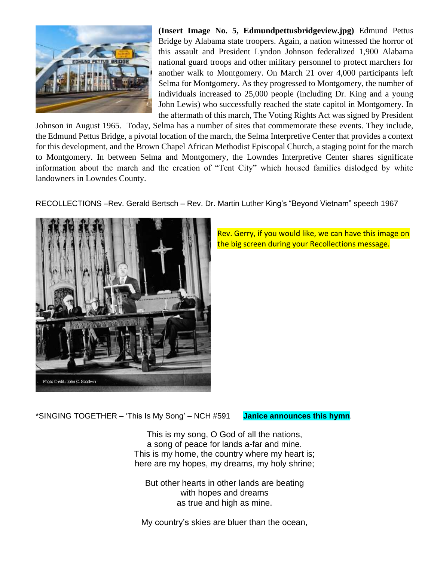

**(Insert Image No. 5, Edmundpettusbridgeview.jpg)** Edmund Pettus Bridge by Alabama state troopers. Again, a nation witnessed the horror of this assault and President Lyndon Johnson federalized 1,900 Alabama national guard troops and other military personnel to protect marchers for another walk to Montgomery. On March 21 over 4,000 participants left Selma for Montgomery. As they progressed to Montgomery, the number of individuals increased to 25,000 people (including Dr. King and a young John Lewis) who successfully reached the state capitol in Montgomery. In the aftermath of this march, The Voting Rights Act was signed by President

Johnson in August 1965. Today, Selma has a number of sites that commemorate these events. They include, the Edmund Pettus Bridge, a pivotal location of the march, the Selma Interpretive Center that provides a context for this development, and the Brown Chapel African Methodist Episcopal Church, a staging point for the march to Montgomery. In between Selma and Montgomery, the Lowndes Interpretive Center shares significate information about the march and the creation of "Tent City" which housed families dislodged by white landowners in Lowndes County.

RECOLLECTIONS –Rev. Gerald Bertsch – Rev. Dr. Martin Luther King's "Beyond Vietnam" speech 1967



Rev. Gerry, if you would like, we can have this image on the big screen during your Recollections message.

\*SINGING TOGETHER – 'This Is My Song' – NCH #591 **Janice announces this hymn**.

This is my song, O God of all the nations, a song of peace for lands a-far and mine. This is my home, the country where my heart is; here are my hopes, my dreams, my holy shrine;

But other hearts in other lands are beating with hopes and dreams as true and high as mine.

My country's skies are bluer than the ocean,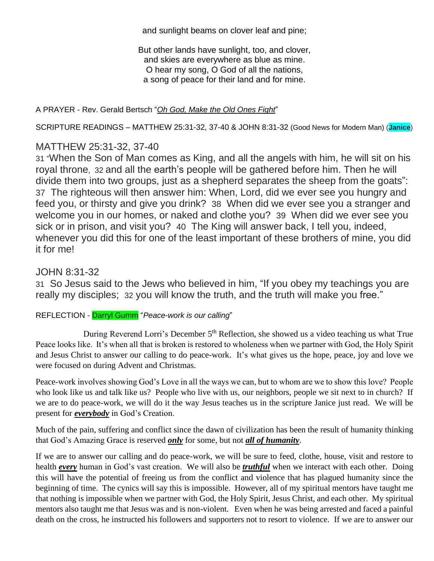and sunlight beams on clover leaf and pine;

But other lands have sunlight, too, and clover, and skies are everywhere as blue as mine. O hear my song, O God of all the nations, a song of peace for their land and for mine.

## A PRAYER - Rev. Gerald Bertsch "*Oh God, Make the Old Ones Fight*"

SCRIPTURE READINGS – MATTHEW 25:31-32, 37-40 & JOHN 8:31-32 (Good News for Modern Man) (**Janice**)

# MATTHEW 25:31-32, 37-40

31 "When the Son of Man comes as King, and all the angels with him, he will sit on his royal throne, 32 and all the earth's people will be gathered before him. Then he will divide them into two groups, just as a shepherd separates the sheep from the goats": 37 The righteous will then answer him: When, Lord, did we ever see you hungry and feed you, or thirsty and give you drink? 38 When did we ever see you a stranger and welcome you in our homes, or naked and clothe you? 39 When did we ever see you sick or in prison, and visit you? 40 The King will answer back, I tell you, indeed, whenever you did this for one of the least important of these brothers of mine, you did it for me!

# JOHN 8:31-32

31 So Jesus said to the Jews who believed in him, "If you obey my teachings you are really my disciples; 32 you will know the truth, and the truth will make you free."

## REFLECTION - Darryl Gumm "*Peace-work is our calling*"

During Reverend Lorri's December 5<sup>th</sup> Reflection, she showed us a video teaching us what True Peace looks like. It's when all that is broken is restored to wholeness when we partner with God, the Holy Spirit and Jesus Christ to answer our calling to do peace-work. It's what gives us the hope, peace, joy and love we were focused on during Advent and Christmas.

Peace-work involves showing God's Love in all the ways we can, but to whom are we to show this love? People who look like us and talk like us? People who live with us, our neighbors, people we sit next to in church? If we are to do peace-work, we will do it the way Jesus teaches us in the scripture Janice just read. We will be present for *everybody* in God's Creation.

Much of the pain, suffering and conflict since the dawn of civilization has been the result of humanity thinking that God's Amazing Grace is reserved *only* for some, but not *all of humanity*.

If we are to answer our calling and do peace-work, we will be sure to feed, clothe, house, visit and restore to health *every* human in God's vast creation. We will also be *truthful* when we interact with each other. Doing this will have the potential of freeing us from the conflict and violence that has plagued humanity since the beginning of time. The cynics will say this is impossible. However, all of my spiritual mentors have taught me that nothing is impossible when we partner with God, the Holy Spirit, Jesus Christ, and each other. My spiritual mentors also taught me that Jesus was and is non-violent. Even when he was being arrested and faced a painful death on the cross, he instructed his followers and supporters not to resort to violence. If we are to answer our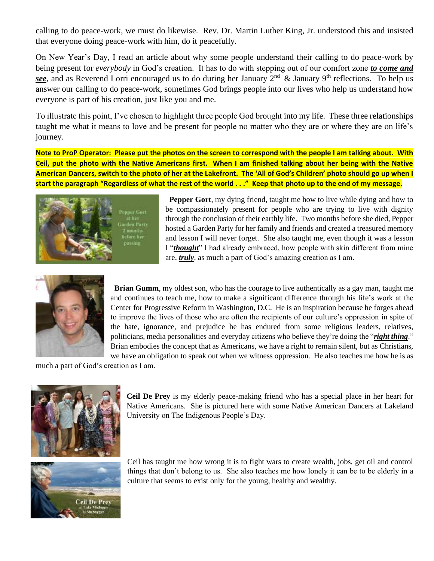calling to do peace-work, we must do likewise. Rev. Dr. Martin Luther King, Jr. understood this and insisted that everyone doing peace-work with him, do it peacefully.

On New Year's Day, I read an article about why some people understand their calling to do peace-work by being present for *everybody* in God's creation. It has to do with stepping out of our comfort zone *to come and*  see, and as Reverend Lorri encouraged us to do during her January 2<sup>nd</sup> & January 9<sup>th</sup> reflections. To help us answer our calling to do peace-work, sometimes God brings people into our lives who help us understand how everyone is part of his creation, just like you and me.

To illustrate this point, I've chosen to highlight three people God brought into my life. These three relationships taught me what it means to love and be present for people no matter who they are or where they are on life's journey.

**Note to ProP Operator: Please put the photos on the screen to correspond with the people I am talking about. With Ceil, put the photo with the Native Americans first. When I am finished talking about her being with the Native American Dancers, switch to the photo of her at the Lakefront. The 'All of God's Children' photo should go up when I start the paragraph "Regardless of what the rest of the world . . ." Keep that photo up to the end of my message.**



**Pepper Gort**, my dying friend, taught me how to live while dying and how to be compassionately present for people who are trying to live with dignity through the conclusion of their earthly life. Two months before she died, Pepper hosted a Garden Party for her family and friends and created a treasured memory and lesson I will never forget. She also taught me, even though it was a lesson I "*thought*" I had already embraced, how people with skin different from mine are, *truly*, as much a part of God's amazing creation as I am.



**Brian Gumm**, my oldest son, who has the courage to live authentically as a gay man, taught me and continues to teach me, how to make a significant difference through his life's work at the Center for Progressive Reform in Washington, D.C. He is an inspiration because he forges ahead to improve the lives of those who are often the recipients of our culture's oppression in spite of the hate, ignorance, and prejudice he has endured from some religious leaders, relatives, politicians, media personalities and everyday citizens who believe they're doing the "*right thing*." Brian embodies the concept that as Americans, we have a right to remain silent, but as Christians, we have an obligation to speak out when we witness oppression. He also teaches me how he is as

much a part of God's creation as I am.



**Ceil De Prey** is my elderly peace-making friend who has a special place in her heart for Native Americans. She is pictured here with some Native American Dancers at Lakeland University on The Indigenous People's Day.



Ceil has taught me how wrong it is to fight wars to create wealth, jobs, get oil and control things that don't belong to us. She also teaches me how lonely it can be to be elderly in a culture that seems to exist only for the young, healthy and wealthy.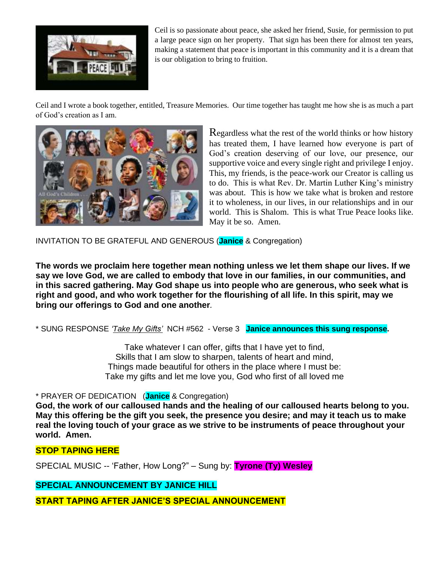

Ceil is so passionate about peace, she asked her friend, Susie, for permission to put a large peace sign on her property. That sign has been there for almost ten years, making a statement that peace is important in this community and it is a dream that is our obligation to bring to fruition.

Ceil and I wrote a book together, entitled, Treasure Memories. Our time together has taught me how she is as much a part of God's creation as I am.



Regardless what the rest of the world thinks or how history has treated them, I have learned how everyone is part of God's creation deserving of our love, our presence, our supportive voice and every single right and privilege I enjoy. This, my friends, is the peace-work our Creator is calling us to do. This is what Rev. Dr. Martin Luther King's ministry was about. This is how we take what is broken and restore it to wholeness, in our lives, in our relationships and in our world. This is Shalom. This is what True Peace looks like. May it be so. Amen.

INVITATION TO BE GRATEFUL AND GENEROUS (**Janice** & Congregation)

**The words we proclaim here together mean nothing unless we let them shape our lives. If we say we love God, we are called to embody that love in our families, in our communities, and in this sacred gathering. May God shape us into people who are generous, who seek what is right and good, and who work together for the flourishing of all life. In this spirit, may we bring our offerings to God and one another***.*

\* SUNG RESPONSE *'Take My Gifts'* NCH #562 - Verse 3 **Janice announces this sung response.**

Take whatever I can offer, gifts that I have yet to find, Skills that I am slow to sharpen, talents of heart and mind, Things made beautiful for others in the place where I must be: Take my gifts and let me love you, God who first of all loved me

\* PRAYER OF DEDICATION (**Janice** & Congregation)

**God, the work of our calloused hands and the healing of our calloused hearts belong to you. May this offering be the gift you seek, the presence you desire; and may it teach us to make real the loving touch of your grace as we strive to be instruments of peace throughout your world. Amen.**

## **STOP TAPING HERE**

SPECIAL MUSIC -- 'Father, How Long?" – Sung by: **Tyrone (Ty) Wesley**

**SPECIAL ANNOUNCEMENT BY JANICE HILL**

**START TAPING AFTER JANICE'S SPECIAL ANNOUNCEMENT**